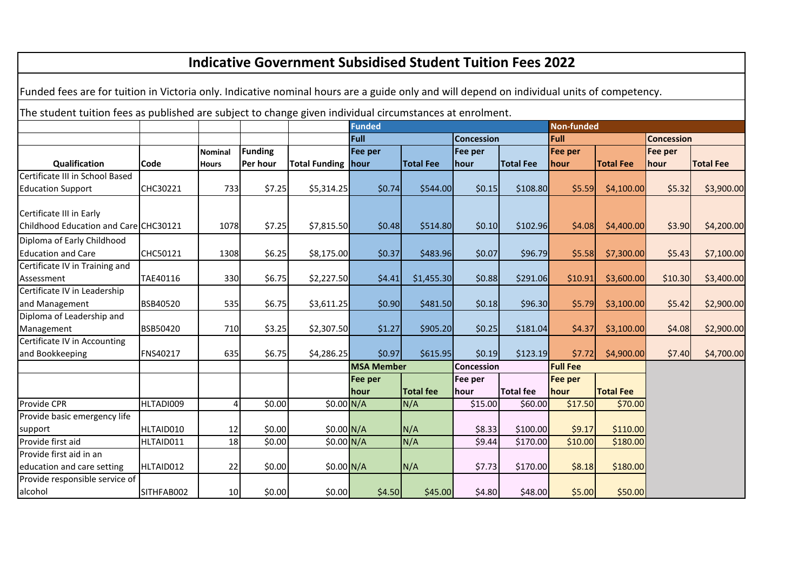| <b>Indicative Government Subsidised Student Tuition Fees 2022</b>                                                                          |            |                |                |                    |                                    |                  |                   |                   |                 |                  |         |                   |
|--------------------------------------------------------------------------------------------------------------------------------------------|------------|----------------|----------------|--------------------|------------------------------------|------------------|-------------------|-------------------|-----------------|------------------|---------|-------------------|
| Funded fees are for tuition in Victoria only. Indicative nominal hours are a guide only and will depend on individual units of competency. |            |                |                |                    |                                    |                  |                   |                   |                 |                  |         |                   |
| The student tuition fees as published are subject to change given individual circumstances at enrolment.                                   |            |                |                |                    |                                    |                  |                   |                   |                 |                  |         |                   |
|                                                                                                                                            |            |                |                |                    | <b>Funded</b><br><b>Non-funded</b> |                  |                   |                   |                 |                  |         |                   |
|                                                                                                                                            |            |                |                |                    | Full                               |                  |                   | <b>Concession</b> |                 | Full             |         | <b>Concession</b> |
|                                                                                                                                            |            | Nominal        | <b>Funding</b> |                    | Fee per                            |                  | Fee per           |                   | Fee per         |                  | Fee per |                   |
| Qualification                                                                                                                              | Code       | <b>Hours</b>   | Per hour       | Total Funding hour |                                    | <b>Total Fee</b> | hour              | <b>Total Fee</b>  | <b>hour</b>     | <b>Total Fee</b> | hour    | <b>Total Fee</b>  |
| Certificate III in School Based                                                                                                            |            |                |                |                    |                                    |                  |                   |                   |                 |                  |         |                   |
| <b>Education Support</b>                                                                                                                   | CHC30221   | 733            | \$7.25         | \$5,314.25         | \$0.74                             | \$544.00         | \$0.15            | \$108.80          | \$5.59          | \$4,100.00       | \$5.32  | \$3,900.00        |
| Certificate III in Early                                                                                                                   |            |                |                |                    |                                    |                  |                   |                   |                 |                  |         |                   |
| Childhood Education and Care CHC30121                                                                                                      |            | 1078           | \$7.25         | \$7,815.50         | \$0.48                             | \$514.80         | \$0.10            | \$102.96          | \$4.08          | \$4,400.00       | \$3.90  | \$4,200.00        |
| Diploma of Early Childhood                                                                                                                 |            |                |                |                    |                                    |                  |                   |                   |                 |                  |         |                   |
| <b>Education and Care</b>                                                                                                                  | CHC50121   | 1308           | \$6.25         | \$8,175.00         | \$0.37                             | \$483.96         | \$0.07            | \$96.79           | \$5.58          | \$7,300.00       | \$5.43  | \$7,100.00        |
| Certificate IV in Training and                                                                                                             |            |                |                |                    |                                    |                  |                   |                   |                 |                  |         |                   |
| Assessment                                                                                                                                 | TAE40116   | 330            | \$6.75         | \$2,227.50         | \$4.41                             | \$1,455.30       | \$0.88            | \$291.06          | \$10.91         | \$3,600.00       | \$10.30 | \$3,400.00        |
| Certificate IV in Leadership                                                                                                               |            |                |                |                    |                                    |                  |                   |                   |                 |                  |         |                   |
| and Management                                                                                                                             | BSB40520   | 535            | \$6.75         | \$3,611.25         | \$0.90                             | \$481.50         | \$0.18            | \$96.30           | \$5.79          | \$3,100.00       | \$5.42  | \$2,900.00        |
| Diploma of Leadership and                                                                                                                  |            |                |                |                    |                                    |                  |                   |                   |                 |                  |         |                   |
| Management                                                                                                                                 | BSB50420   | 710            | \$3.25         | \$2,307.50         | \$1.27                             | \$905.20         | \$0.25            | \$181.04          | \$4.37          | \$3,100.00       | \$4.08  | \$2,900.00        |
| Certificate IV in Accounting                                                                                                               |            |                |                |                    |                                    |                  |                   |                   |                 |                  |         |                   |
| and Bookkeeping                                                                                                                            | FNS40217   | 635            | \$6.75         | \$4,286.25         | \$0.97                             | \$615.95         | \$0.19            | \$123.19          | \$7.72          | \$4,900.00       | \$7.40  | \$4,700.00        |
|                                                                                                                                            |            |                |                |                    | <b>MSA Member</b>                  |                  | <b>Concession</b> |                   | <b>Full Fee</b> |                  |         |                   |
|                                                                                                                                            |            |                |                |                    | Fee per                            |                  | Fee per           |                   | <b>Fee per</b>  |                  |         |                   |
|                                                                                                                                            |            |                |                |                    | hour                               | <b>Total fee</b> | hour              | <b>Total fee</b>  | hour            | <b>Total Fee</b> |         |                   |
| Provide CPR                                                                                                                                | HLTADI009  | $\overline{4}$ | \$0.00         | \$0.00 N/A         |                                    | N/A              | \$15.00           | \$60.00           | \$17.50         | \$70.00          |         |                   |
| Provide basic emergency life                                                                                                               |            |                |                |                    |                                    |                  |                   |                   |                 |                  |         |                   |
| support                                                                                                                                    | HLTAID010  | 12             | \$0.00         | \$0.00 N/A         |                                    | N/A              | \$8.33            | \$100.00          | \$9.17          | \$110.00         |         |                   |
| Provide first aid                                                                                                                          | HLTAID011  | 18             | \$0.00         | \$0.00 N/A         |                                    | N/A              | \$9.44            | \$170.00          | \$10.00         | \$180.00         |         |                   |
| Provide first aid in an                                                                                                                    |            |                |                |                    |                                    |                  |                   |                   |                 |                  |         |                   |
| education and care setting                                                                                                                 | HLTAID012  | 22             | \$0.00         | $$0.00\text{N/A}$  |                                    | N/A              | \$7.73            | \$170.00          | \$8.18          | \$180.00         |         |                   |
| Provide responsible service of                                                                                                             |            |                |                |                    |                                    |                  |                   |                   |                 |                  |         |                   |
| alcohol                                                                                                                                    | SITHFAB002 | 10             | \$0.00         | \$0.00]            | \$4.50                             | \$45.00          | \$4.80            | \$48.00           | \$5.00          | \$50.00          |         |                   |